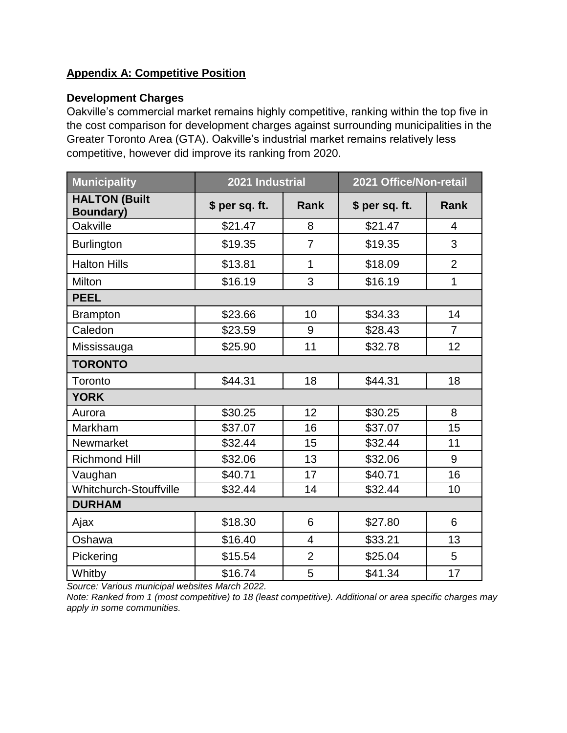## **Appendix A: Competitive Position**

## **Development Charges**

Oakville's commercial market remains highly competitive, ranking within the top five in the cost comparison for development charges against surrounding municipalities in the Greater Toronto Area (GTA). Oakville's industrial market remains relatively less competitive, however did improve its ranking from 2020.

| <b>Municipality</b>                      | 2021 Industrial |                | 2021 Office/Non-retail |                |  |  |
|------------------------------------------|-----------------|----------------|------------------------|----------------|--|--|
| <b>HALTON (Built</b><br><b>Boundary)</b> | \$ per sq. ft.  | Rank           | \$ per sq. ft.         | <b>Rank</b>    |  |  |
| Oakville                                 | \$21.47         | 8              | \$21.47                | 4              |  |  |
| <b>Burlington</b>                        | \$19.35         | $\overline{7}$ | \$19.35                | 3              |  |  |
| <b>Halton Hills</b>                      | \$13.81         | 1              | \$18.09                | $\overline{2}$ |  |  |
| Milton                                   | \$16.19         | 3              | \$16.19                | $\mathbf{1}$   |  |  |
| <b>PEEL</b>                              |                 |                |                        |                |  |  |
| <b>Brampton</b>                          | \$23.66         | 10             | \$34.33                | 14             |  |  |
| Caledon                                  | \$23.59         | 9              | \$28.43                | $\overline{7}$ |  |  |
| Mississauga                              | \$25.90         | 11             | \$32.78                | 12             |  |  |
| <b>TORONTO</b>                           |                 |                |                        |                |  |  |
| Toronto                                  | \$44.31         | 18             | \$44.31                | 18             |  |  |
| <b>YORK</b>                              |                 |                |                        |                |  |  |
| Aurora                                   | \$30.25         | 12             | \$30.25                | 8              |  |  |
| Markham                                  | \$37.07         | 16             | \$37.07                | 15             |  |  |
| Newmarket                                | \$32.44         | 15             | \$32.44                | 11             |  |  |
| <b>Richmond Hill</b>                     | \$32.06         | 13             | \$32.06                | 9              |  |  |
| Vaughan                                  | \$40.71         | 17             | \$40.71                | 16             |  |  |
| <b>Whitchurch-Stouffville</b>            | \$32.44         | 14             | \$32.44                | 10             |  |  |
| <b>DURHAM</b>                            |                 |                |                        |                |  |  |
| Ajax                                     | \$18.30         | 6              | \$27.80                | 6              |  |  |
| Oshawa                                   | \$16.40         | 4              | \$33.21                | 13             |  |  |
| Pickering                                | \$15.54         | $\overline{2}$ | \$25.04                | 5              |  |  |
| Whitby                                   | \$16.74         | 5              | \$41.34                | 17             |  |  |

*Source: Various municipal websites March 2022.* 

*Note: Ranked from 1 (most competitive) to 18 (least competitive). Additional or area specific charges may apply in some communities.*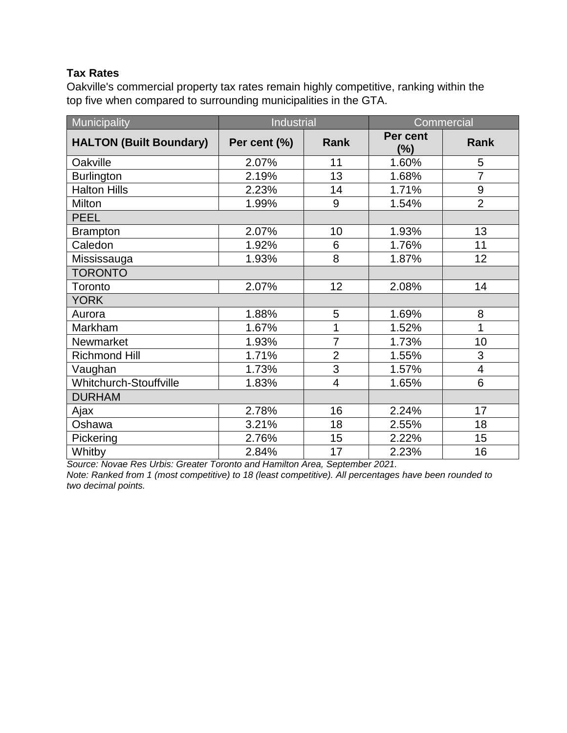## **Tax Rates**

Oakville's commercial property tax rates remain highly competitive, ranking within the top five when compared to surrounding municipalities in the GTA.

| Municipality                   | <b>Industrial</b> |                         |                    | Commercial              |
|--------------------------------|-------------------|-------------------------|--------------------|-------------------------|
| <b>HALTON (Built Boundary)</b> | Per cent (%)      | <b>Rank</b>             | Per cent<br>$(\%)$ | Rank                    |
| Oakville                       | 2.07%             | 11                      | 1.60%              | 5                       |
| <b>Burlington</b>              | 2.19%             | 13                      | 1.68%              | $\overline{7}$          |
| <b>Halton Hills</b>            | 2.23%             | 14                      | 1.71%              | $\boldsymbol{9}$        |
| Milton                         | 1.99%             | 9                       | 1.54%              | $\overline{2}$          |
| <b>PEEL</b>                    |                   |                         |                    |                         |
| <b>Brampton</b>                | 2.07%             | 10                      | 1.93%              | 13                      |
| Caledon                        | 1.92%             | 6                       | 1.76%              | 11                      |
| Mississauga                    | 1.93%             | 8                       | 1.87%              | 12                      |
| <b>TORONTO</b>                 |                   |                         |                    |                         |
| Toronto                        | 2.07%             | 12                      | 2.08%              | 14                      |
| <b>YORK</b>                    |                   |                         |                    |                         |
| Aurora                         | 1.88%             | 5                       | 1.69%              | 8                       |
| Markham                        | 1.67%             | 1                       | 1.52%              | $\overline{1}$          |
| Newmarket                      | 1.93%             | $\overline{7}$          | 1.73%              | 10                      |
| <b>Richmond Hill</b>           | 1.71%             | $\overline{2}$          | 1.55%              | 3                       |
| Vaughan                        | 1.73%             | $\overline{3}$          | 1.57%              | $\overline{\mathbf{4}}$ |
| Whitchurch-Stouffville         | 1.83%             | $\overline{\mathbf{4}}$ | 1.65%              | 6                       |
| <b>DURHAM</b>                  |                   |                         |                    |                         |
| Ajax                           | 2.78%             | 16                      | 2.24%              | 17                      |
| Oshawa                         | 3.21%             | 18                      | 2.55%              | 18                      |
| Pickering                      | 2.76%             | 15                      | 2.22%              | 15                      |
| Whitby                         | 2.84%             | 17                      | 2.23%              | 16                      |

*Source: Novae Res Urbis: Greater Toronto and Hamilton Area, September 2021.* 

*Note: Ranked from 1 (most competitive) to 18 (least competitive). All percentages have been rounded to two decimal points.*